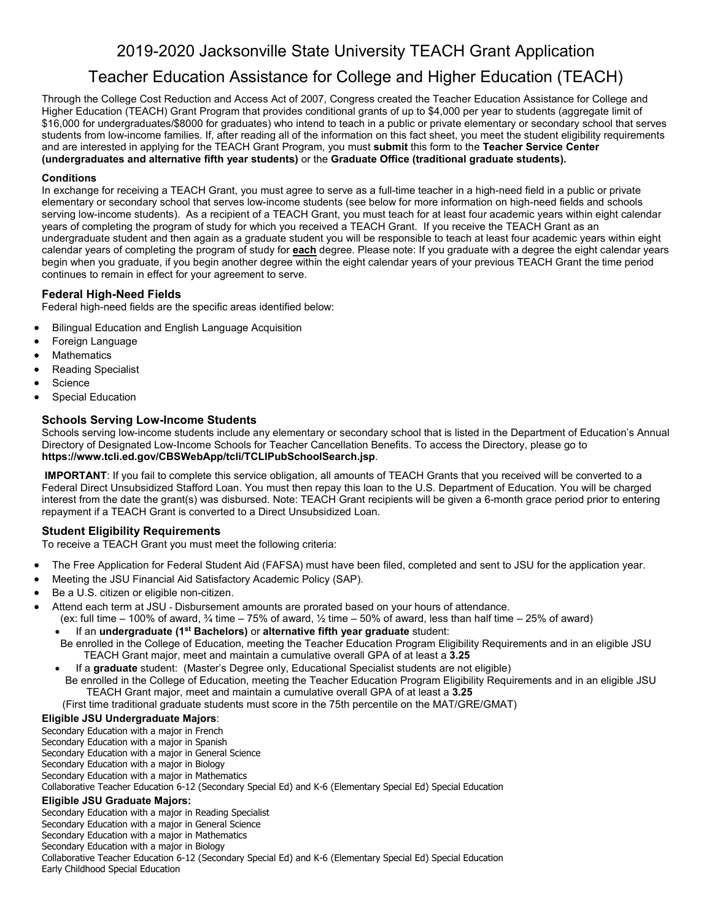# 2019-2020 Jacksonville State University TEACH Grant Application

# Teacher Education Assistance for College and Higher Education (TEACH)

Through the College Cost Reduction and Access Act of 2007, Congress created the Teacher Education Assistance for College and Higher Education (TEACH) Grant Program that provides conditional grants of up to \$4,000 per year to students (aggregate limit of \$16,000 for undergraduates/\$8000 for graduates) who intend to teach in a public or private elementary or secondary school that serves students from low-income families. If, after reading all of the information on this fact sheet, you meet the student eligibility requirements and are interested in applying for the TEACH Grant Program, you must **submit** this form to the **Teacher Service Center (undergraduates and alternative fifth year students)** or the **Graduate Office (traditional graduate students).**

#### **Conditions**

In exchange for receiving a TEACH Grant, you must agree to serve as a full-time teacher in a high-need field in a public or private elementary or secondary school that serves low-income students (see below for more information on high-need fields and schools serving low-income students). As a recipient of a TEACH Grant, you must teach for at least four academic years within eight calendar years of completing the program of study for which you received a TEACH Grant. If you receive the TEACH Grant as an undergraduate student and then again as a graduate student you will be responsible to teach at least four academic years within eight calendar years of completing the program of study for **each** degree. Please note: If you graduate with a degree the eight calendar years begin when you graduate, if you begin another degree within the eight calendar years of your previous TEACH Grant the time period continues to remain in effect for your agreement to serve.

## **Federal High-Need Fields**

Federal high-need fields are the specific areas identified below:

- Bilingual Education and English Language Acquisition
- Foreign Language
- **Mathematics**
- Reading Specialist
- **Science**
- **Special Education**

#### **Schools Serving Low-Income Students**

Schools serving low-income students include any elementary or secondary school that is listed in the Department of Education's Annual Directory of Designated Low-Income Schools for Teacher Cancellation Benefits. To access the Directory, please go to **https://www.tcli.ed.gov/CBSWebApp/tcli/TCLIPubSchoolSearch.jsp**.

 **IMPORTANT**: If you fail to complete this service obligation, all amounts of TEACH Grants that you received will be converted to a Federal Direct Unsubsidized Stafford Loan. You must then repay this loan to the U.S. Department of Education. You will be charged interest from the date the grant(s) was disbursed. Note: TEACH Grant recipients will be given a 6-month grace period prior to entering repayment if a TEACH Grant is converted to a Direct Unsubsidized Loan.

## **Student Eligibility Requirements**

To receive a TEACH Grant you must meet the following criteria:

- The Free Application for Federal Student Aid (FAFSA) must have been filed, completed and sent to JSU for the application year.
- Meeting the JSU Financial Aid Satisfactory Academic Policy (SAP).
- Be a U.S. citizen or eligible non-citizen.
- Attend each term at JSU Disbursement amounts are prorated based on your hours of attendance.
	- (ex: full time 100% of award,  $\frac{3}{4}$  time 75% of award,  $\frac{1}{2}$  time 50% of award, less than half time 25% of award)
	- If an **undergraduate (1st Bachelors)** or **alternative fifth year graduate** student: Be enrolled in the College of Education, meeting the Teacher Education Program Eligibility Requirements and in an eligible JSU TEACH Grant major, meet and maintain a cumulative overall GPA of at least a **3.25**
	- If a **graduate** student: (Master's Degree only, Educational Specialist students are not eligible) Be enrolled in the College of Education, meeting the Teacher Education Program Eligibility Requirements and in an eligible JSU TEACH Grant major, meet and maintain a cumulative overall GPA of at least a **3.25**
	- (First time traditional graduate students must score in the 75th percentile on the MAT/GRE/GMAT)

#### **Eligible JSU Undergraduate Majors**:

Secondary Education with a major in French Secondary Education with a major in Spanish Secondary Education with a major in General Science Secondary Education with a major in Biology Secondary Education with a major in Mathematics Collaborative Teacher Education 6-12 (Secondary Special Ed) and K-6 (Elementary Special Ed) Special Education **Eligible JSU Graduate Majors:**  Secondary Education with a major in Reading Specialist Secondary Education with a major in General Science Secondary Education with a major in Mathematics Secondary Education with a major in Biology

- Collaborative Teacher Education 6-12 (Secondary Special Ed) and K-6 (Elementary Special Ed) Special Education
- Early Childhood Special Education